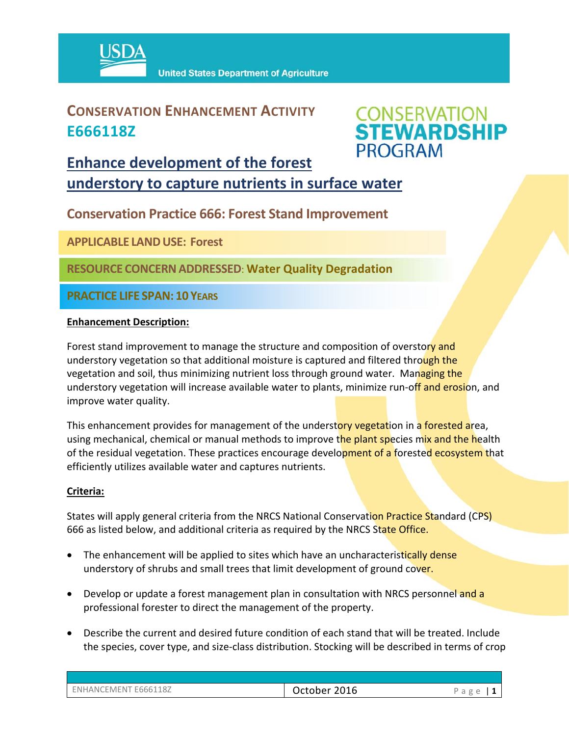

### **CONSERVATION ENHANCEMENT ACTIVITY E666118Z**



### **Enhance development of the forest understory to capture nutrients in surface water**

**Conservation Practice 666: Forest Stand Improvement** 

**APPLICABLE LANDUSE: Forest**

**RESOURCE CONCERNADDRESSED**: **Water Quality Degradation** 

**PRACTICE LIFE SPAN: 10 YEARS**

#### **Enhancement Description:**

Forest stand improvement to manage the structure and composition of overstory and understory vegetation so that additional moisture is captured and filtered through the vegetation and soil, thus minimizing nutrient loss through ground water. Managing the understory vegetation will increase available water to plants, minimize run-off and erosion, and improve water quality.

This enhancement provides for management of the understory vegetation in a forested area, using mechanical, chemical or manual methods to improve the plant species mix and the health of the residual vegetation. These practices encourage development of a forested ecosystem that efficiently utilizes available water and captures nutrients.

#### **Criteria:**

States will apply general criteria from the NRCS National Conservation Practice Standard (CPS) 666 as listed below, and additional criteria as required by the NRCS State Office.

- The enhancement will be applied to sites which have an uncharacteristically dense understory of shrubs and small trees that limit development of ground cover.
- Develop or update a forest management plan in consultation with NRCS personnel and a professional forester to direct the management of the property.
- Describe the current and desired future condition of each stand that will be treated. Include the species, cover type, and size‐class distribution. Stocking will be described in terms of crop

| ENHANCEMENT E666118Z | 2016<br>October. |  |
|----------------------|------------------|--|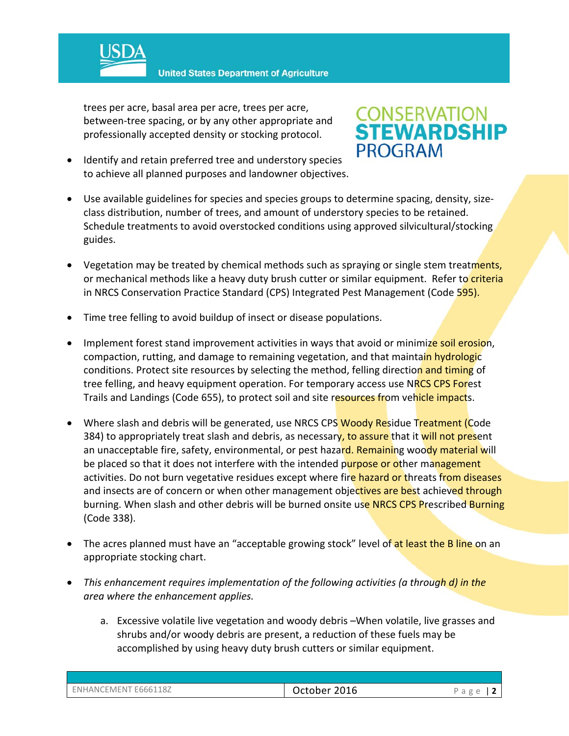

**United States Department of Agriculture** 

trees per acre, basal area per acre, trees per acre, between‐tree spacing, or by any other appropriate and professionally accepted density or stocking protocol.

 Identify and retain preferred tree and understory species to achieve all planned purposes and landowner objectives.

# **CONSERVATION<br>STEWARDSHIP PROGRAM**

- Use available guidelines for species and species groups to determine spacing, density, size‐ class distribution, number of trees, and amount of understory species to be retained. Schedule treatments to avoid overstocked conditions using approved silvicultural/stocking guides.
- Vegetation may be treated by chemical methods such as spraying or single stem treatments, or mechanical methods like a heavy duty brush cutter or similar equipment. Refer to criteria in NRCS Conservation Practice Standard (CPS) Integrated Pest Management (Code 595).
- Time tree felling to avoid buildup of insect or disease populations.
- Implement forest stand improvement activities in ways that avoid or minimize soil erosion, compaction, rutting, and damage to remaining vegetation, and that maintain hydrologic conditions. Protect site resources by selecting the method, felling direction and timing of tree felling, and heavy equipment operation. For temporary access use NRCS CPS Forest Trails and Landings (Code 655), to protect soil and site resources from vehicle impacts.
- Where slash and debris will be generated, use NRCS CPS Woody Residue Treatment (Code 384) to appropriately treat slash and debris, as necessary, to assure that it will not present an unacceptable fire, safety, environmental, or pest hazard. Remaining woody material will be placed so that it does not interfere with the intended purpose or other management activities. Do not burn vegetative residues except where fire hazard or threats from diseases and insects are of concern or when other management objectives are best achieved through burning. When slash and other debris will be burned onsite use NRCS CPS Prescribed Burning (Code 338).
- The acres planned must have an "acceptable growing stock" level of at least the B line on an appropriate stocking chart.
- *This enhancement requires implementation of the following activities (a through d) in the area where the enhancement applies.*
	- a. Excessive volatile live vegetation and woody debris –When volatile, live grasses and shrubs and/or woody debris are present, a reduction of these fuels may be accomplished by using heavy duty brush cutters or similar equipment.

| ENHANCEMENT E666118Z | 2016<br>October | ◡ |
|----------------------|-----------------|---|